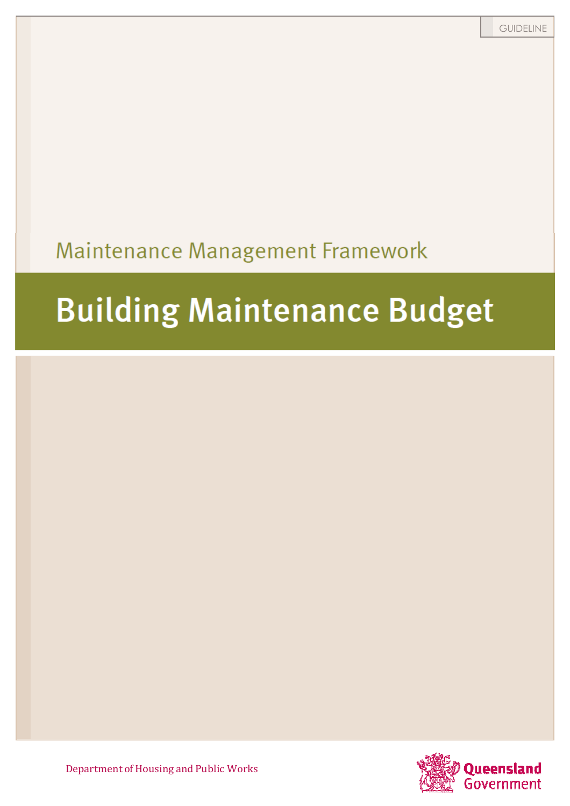# Maintenance Management Framework

# *Building Maintenance*

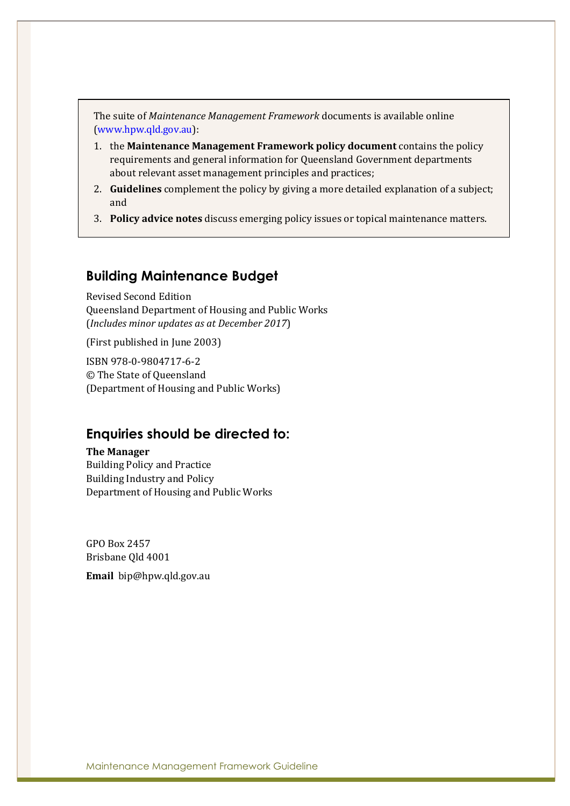The suite of *Maintenance Management Framework* documents is available online (www.hpw.qld.gov.au):

- 1. the **Maintenance Management Framework policy document** contains the policy requirements and general information for Queensland Government departments about relevant asset management principles and practices;
- 2. **Guidelines** complement the policy by giving a more detailed explanation of a subject; and
- 3. **Policy advice notes** discuss emerging policy issues or topical maintenance matters.

#### **Building Maintenance Budget**

Revised Second Edition Queensland Department of Housing and Public Works (*Includes minor updates as at December 2017*)

(First published in June 2003)

ISBN 978-0-9804717-6-2 © The State of Queensland (Department of Housing and Public Works)

#### **Enquiries should be directed to:**

**The Manager** 

Building Policy and Practice Building Industry and Policy Department of Housing and Public Works

GPO Box 2457 Brisbane Qld 4001

**Email** bip@hpw.qld.gov.au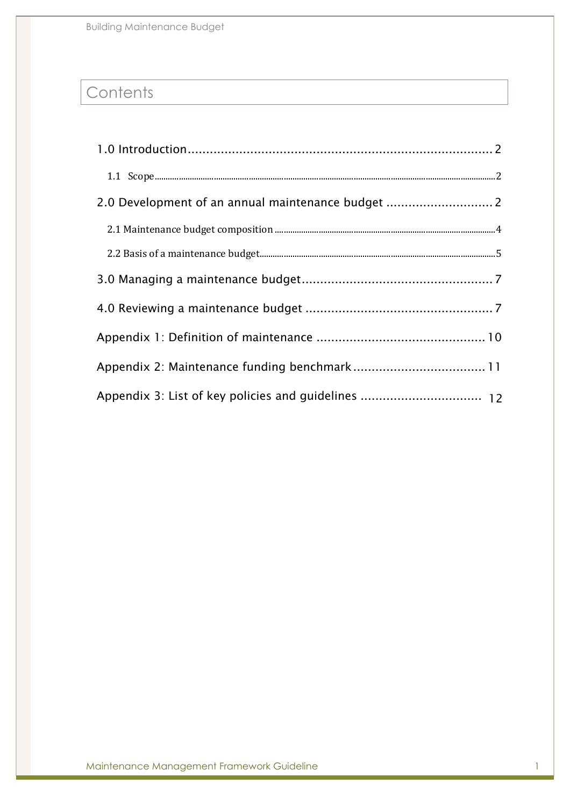Building Maintenance Budget

# **Contents**

| 2.0 Development of an annual maintenance budget  2 |
|----------------------------------------------------|
|                                                    |
|                                                    |
|                                                    |
|                                                    |
|                                                    |
|                                                    |
|                                                    |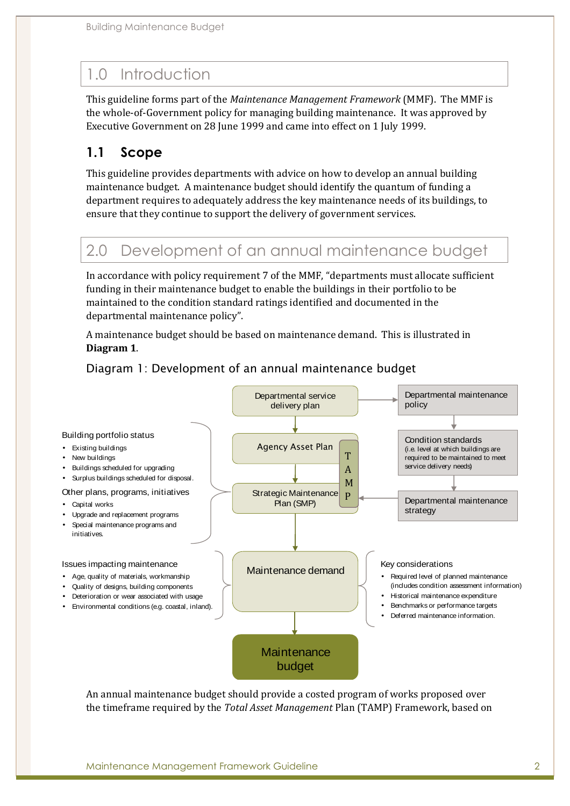# 1.0 Introduction

This guideline forms part of the *Maintenance Management Framework* (MMF). The MMF is the whole-of-Government policy for managing building maintenance. It was approved by Executive Government on 28 June 1999 and came into effect on 1 July 1999.

#### **1.1 Scope**

This guideline provides departments with advice on how to develop an annual building maintenance budget. A maintenance budget should identify the quantum of funding a department requires to adequately address the key maintenance needs of its buildings, to ensure that they continue to support the delivery of government services.

### 2.0 Development of an annual maintenance budget

In accordance with policy requirement 7 of the MMF, "departments must allocate sufficient funding in their maintenance budget to enable the buildings in their portfolio to be maintained to the condition standard ratings identified and documented in the departmental maintenance policy".

A maintenance budget should be based on maintenance demand. This is illustrated in **Diagram 1**.

*Diagram 1: Development of an annual maintenance budget* 



An annual maintenance budget should provide a costed program of works proposed over the timeframe required by the *Total Asset Management* Plan (TAMP) Framework, based on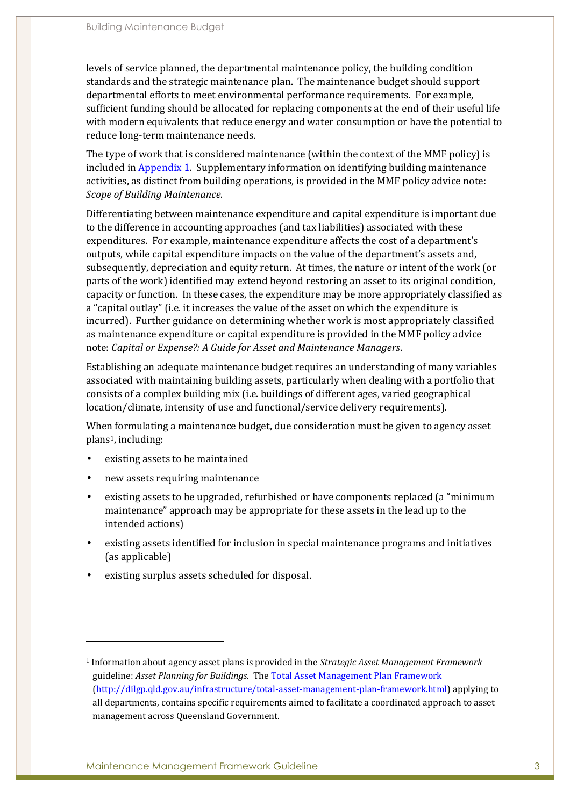levels of service planned, the departmental maintenance policy, the building condition standards and the strategic maintenance plan. The maintenance budget should support departmental efforts to meet environmental performance requirements. For example, sufficient funding should be allocated for replacing components at the end of their useful life with modern equivalents that reduce energy and water consumption or have the potential to reduce long-term maintenance needs.

The type of work that is considered maintenance (within the context of the MMF policy) is included in Appendix 1. Supplementary information on identifying building maintenance activities, as distinct from building operations, is provided in the MMF policy advice note: *Scope of Building Maintenance*.

Differentiating between maintenance expenditure and capital expenditure is important due to the difference in accounting approaches (and tax liabilities) associated with these expenditures. For example, maintenance expenditure affects the cost of a department's outputs, while capital expenditure impacts on the value of the department's assets and, subsequently, depreciation and equity return. At times, the nature or intent of the work (or parts of the work) identified may extend beyond restoring an asset to its original condition, capacity or function. In these cases, the expenditure may be more appropriately classified as a "capital outlay" (i.e. it increases the value of the asset on which the expenditure is incurred). Further guidance on determining whether work is most appropriately classified as maintenance expenditure or capital expenditure is provided in the MMF policy advice note: *Capital or Expense?: A Guide for Asset and Maintenance Managers*.

Establishing an adequate maintenance budget requires an understanding of many variables associated with maintaining building assets, particularly when dealing with a portfolio that consists of a complex building mix (i.e. buildings of different ages, varied geographical location/climate, intensity of use and functional/service delivery requirements).

When formulating a maintenance budget, due consideration must be given to agency asset plans1, including:

• existing assets to be maintained

 $\overline{a}$ 

- new assets requiring maintenance
- existing assets to be upgraded, refurbished or have components replaced (a "minimum maintenance" approach may be appropriate for these assets in the lead up to the intended actions)
- existing assets identified for inclusion in special maintenance programs and initiatives (as applicable)
- existing surplus assets scheduled for disposal.

<sup>1</sup> Information about agency asset plans is provided in the *Strategic Asset Management Framework* guideline: *Asset Planning for Buildings*. The Total Asset Management Plan Framework (http://dilgp.qld.gov.au/infrastructure/total-asset-management-plan-framework.html) applying to all departments, contains specific requirements aimed to facilitate a coordinated approach to asset management across Queensland Government.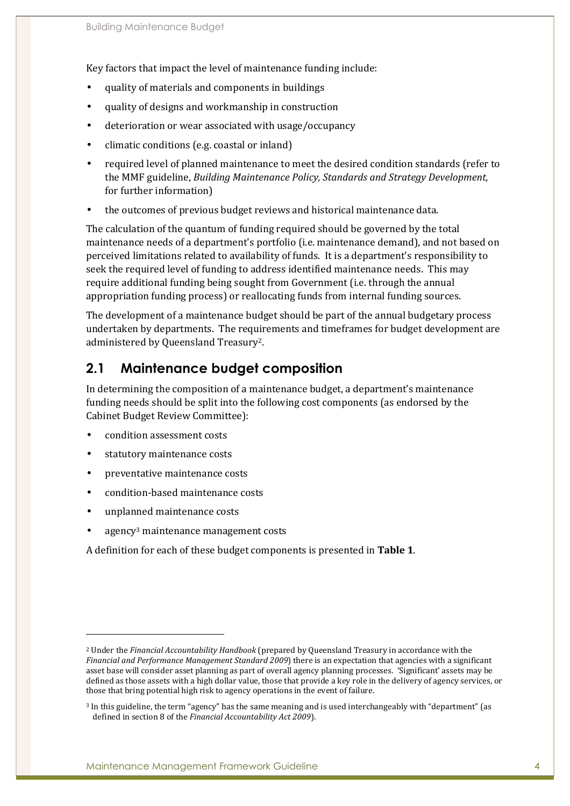Key factors that impact the level of maintenance funding include:

- quality of materials and components in buildings
- quality of designs and workmanship in construction
- deterioration or wear associated with usage/occupancy
- climatic conditions (e.g. coastal or inland)
- required level of planned maintenance to meet the desired condition standards (refer to the MMF guideline, *Building Maintenance Policy, Standards and Strategy Development,*  for further information)
- the outcomes of previous budget reviews and historical maintenance data.

The calculation of the quantum of funding required should be governed by the total maintenance needs of a department's portfolio (i.e. maintenance demand), and not based on perceived limitations related to availability of funds. It is a department's responsibility to seek the required level of funding to address identified maintenance needs. This may require additional funding being sought from Government (i.e. through the annual appropriation funding process) or reallocating funds from internal funding sources.

The development of a maintenance budget should be part of the annual budgetary process undertaken by departments. The requirements and timeframes for budget development are administered by Queensland Treasury2.

#### **2.1 Maintenance budget composition**

In determining the composition of a maintenance budget, a department's maintenance funding needs should be split into the following cost components (as endorsed by the Cabinet Budget Review Committee):

- condition assessment costs
- statutory maintenance costs
- preventative maintenance costs
- condition-based maintenance costs
- unplanned maintenance costs

 $\overline{a}$ 

• agency<sup>3</sup> maintenance management costs

A definition for each of these budget components is presented in **Table 1**.

<sup>2</sup> Under the *Financial Accountability Handbook* (prepared by Queensland Treasury in accordance with the *Financial and Performance Management Standard 2009*) there is an expectation that agencies with a significant asset base will consider asset planning as part of overall agency planning processes. 'Significant' assets may be defined as those assets with a high dollar value, those that provide a key role in the delivery of agency services, or those that bring potential high risk to agency operations in the event of failure.

<sup>3</sup> In this guideline, the term "agency" has the same meaning and is used interchangeably with "department" (as defined in section 8 of the *Financial Accountability Act 2009*).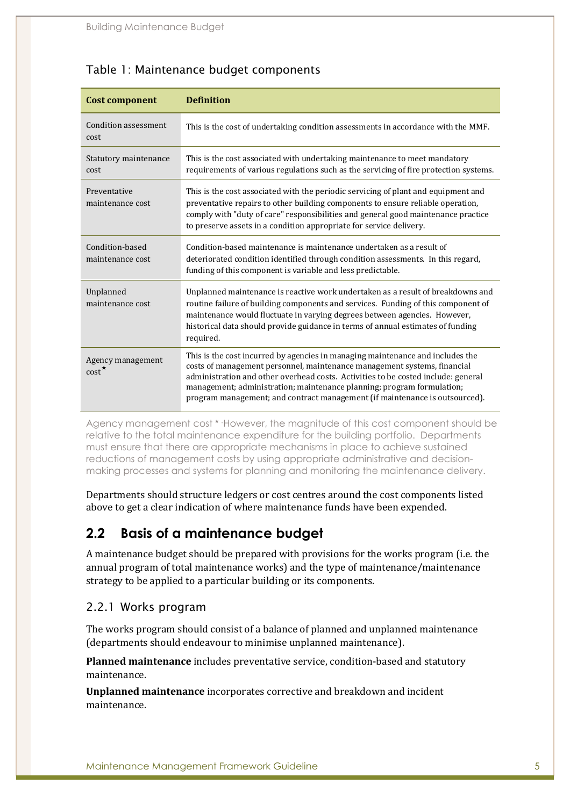| <b>Cost component</b>                      | <b>Definition</b>                                                                                                                                                                                                                                                                                                                                                                                        |  |
|--------------------------------------------|----------------------------------------------------------------------------------------------------------------------------------------------------------------------------------------------------------------------------------------------------------------------------------------------------------------------------------------------------------------------------------------------------------|--|
| Condition assessment<br>cost               | This is the cost of undertaking condition assessments in accordance with the MMF.                                                                                                                                                                                                                                                                                                                        |  |
| Statutory maintenance<br>cost              | This is the cost associated with undertaking maintenance to meet mandatory<br>requirements of various regulations such as the servicing of fire protection systems.                                                                                                                                                                                                                                      |  |
| Preventative<br>maintenance cost           | This is the cost associated with the periodic servicing of plant and equipment and<br>preventative repairs to other building components to ensure reliable operation,<br>comply with "duty of care" responsibilities and general good maintenance practice<br>to preserve assets in a condition appropriate for service delivery.                                                                        |  |
| Condition-based<br>maintenance cost        | Condition-based maintenance is maintenance undertaken as a result of<br>deteriorated condition identified through condition assessments. In this regard,<br>funding of this component is variable and less predictable.                                                                                                                                                                                  |  |
| Unplanned<br>maintenance cost              | Unplanned maintenance is reactive work undertaken as a result of breakdowns and<br>routine failure of building components and services. Funding of this component of<br>maintenance would fluctuate in varying degrees between agencies. However,<br>historical data should provide guidance in terms of annual estimates of funding<br>required.                                                        |  |
| Agency management<br>$\text{cost}^{\star}$ | This is the cost incurred by agencies in managing maintenance and includes the<br>costs of management personnel, maintenance management systems, financial<br>administration and other overhead costs. Activities to be costed include: general<br>management; administration; maintenance planning; program formulation;<br>program management; and contract management (if maintenance is outsourced). |  |

#### *Table 1: Maintenance budget components*

Agency management cost \* However, the magnitude of this cost component should be relative to the total maintenance expenditure for the building portfolio. Departments must ensure that there are appropriate mechanisms in place to achieve sustained reductions of management costs by using appropriate administrative and decisionmaking processes and systems for planning and monitoring the maintenance delivery.

Departments should structure ledgers or cost centres around the cost components listed above to get a clear indication of where maintenance funds have been expended.

#### **2.2 Basis of a maintenance budget**

A maintenance budget should be prepared with provisions for the works program (i.e. the annual program of total maintenance works) and the type of maintenance/maintenance strategy to be applied to a particular building or its components.

#### *2.2.1 Works program*

The works program should consist of a balance of planned and unplanned maintenance (departments should endeavour to minimise unplanned maintenance).

**Planned maintenance** includes preventative service, condition-based and statutory maintenance.

**Unplanned maintenance** incorporates corrective and breakdown and incident maintenance.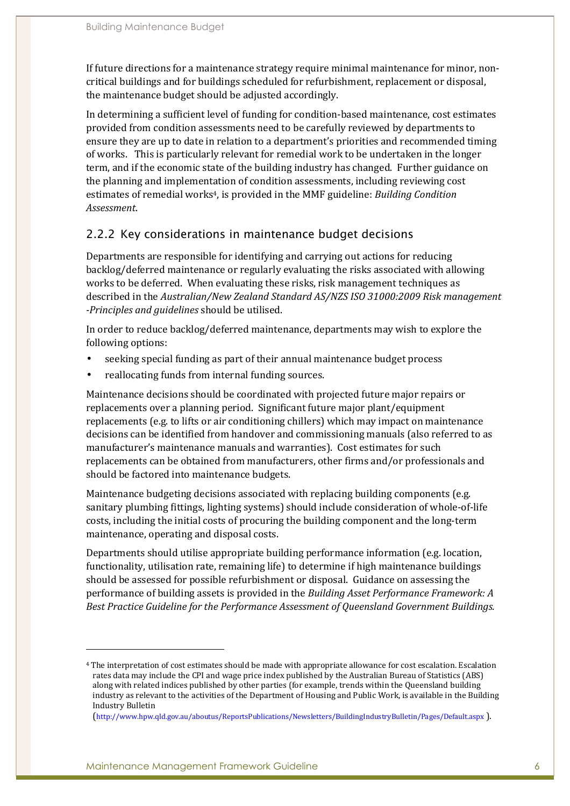If future directions for a maintenance strategy require minimal maintenance for minor, noncritical buildings and for buildings scheduled for refurbishment, replacement or disposal, the maintenance budget should be adjusted accordingly.

In determining a sufficient level of funding for condition-based maintenance, cost estimates provided from condition assessments need to be carefully reviewed by departments to ensure they are up to date in relation to a department's priorities and recommended timing of works. This is particularly relevant for remedial work to be undertaken in the longer term, and if the economic state of the building industry has changed. Further guidance on the planning and implementation of condition assessments, including reviewing cost estimates of remedial works4, is provided in the MMF guideline: *Building Condition Assessment*.

#### *2.2.2 Key considerations in maintenance budget decisions*

Departments are responsible for identifying and carrying out actions for reducing backlog/deferred maintenance or regularly evaluating the risks associated with allowing works to be deferred. When evaluating these risks, risk management techniques as described in the *Australian/New Zealand Standard AS/NZS ISO 31000:2009 Risk management -Principles and guidelines* should be utilised.

In order to reduce backlog/deferred maintenance, departments may wish to explore the following options:

- seeking special funding as part of their annual maintenance budget process
- reallocating funds from internal funding sources.

Maintenance decisions should be coordinated with projected future major repairs or replacements over a planning period. Significant future major plant/equipment replacements (e.g. to lifts or air conditioning chillers) which may impact on maintenance decisions can be identified from handover and commissioning manuals (also referred to as manufacturer's maintenance manuals and warranties). Cost estimates for such replacements can be obtained from manufacturers, other firms and/or professionals and should be factored into maintenance budgets.

Maintenance budgeting decisions associated with replacing building components (e.g. sanitary plumbing fittings, lighting systems) should include consideration of whole-of-life costs, including the initial costs of procuring the building component and the long-term maintenance, operating and disposal costs.

Departments should utilise appropriate building performance information (e.g. location, functionality, utilisation rate, remaining life) to determine if high maintenance buildings should be assessed for possible refurbishment or disposal. Guidance on assessing the performance of building assets is provided in the *Building Asset Performance Framework: A Best Practice Guideline for the Performance Assessment of Queensland Government Buildings.* 

 $\overline{a}$ 

<sup>4</sup> The interpretation of cost estimates should be made with appropriate allowance for cost escalation. Escalation rates data may include the CPI and wage price index published by the Australian Bureau of Statistics (ABS) along with related indices published by other parties (for example, trends within the Queensland building industry as relevant to the activities of the Department of Housing and Public Work, is available in the Building Industry Bulletin

<sup>(</sup>http://www.hpw.qld.gov.au/aboutus/ReportsPublications/Newsletters/BuildingIndustryBulletin/Pages/Default.aspx ).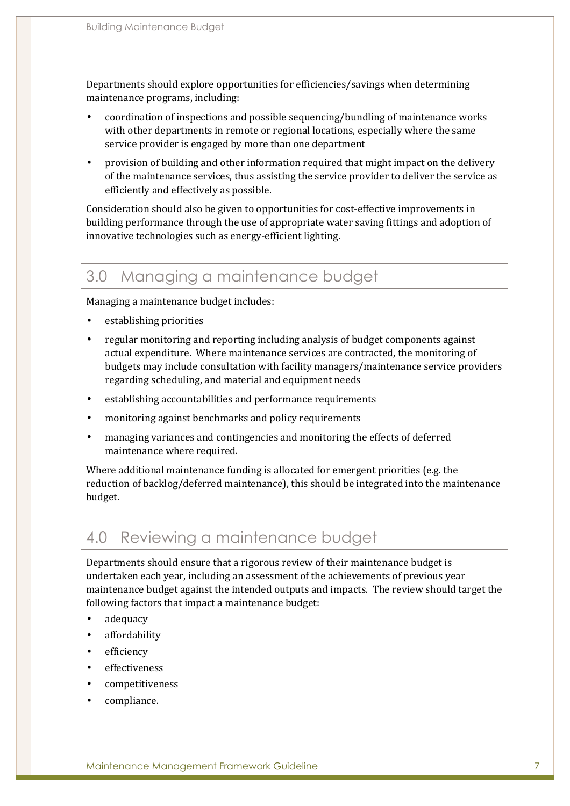Departments should explore opportunities for efficiencies/savings when determining maintenance programs, including:

- coordination of inspections and possible sequencing/bundling of maintenance works with other departments in remote or regional locations, especially where the same service provider is engaged by more than one department
- provision of building and other information required that might impact on the delivery of the maintenance services, thus assisting the service provider to deliver the service as efficiently and effectively as possible.

Consideration should also be given to opportunities for cost-effective improvements in building performance through the use of appropriate water saving fittings and adoption of innovative technologies such as energy-efficient lighting.

# 3.0 Managing a maintenance budget

Managing a maintenance budget includes:

- establishing priorities
- regular monitoring and reporting including analysis of budget components against actual expenditure. Where maintenance services are contracted, the monitoring of budgets may include consultation with facility managers/maintenance service providers regarding scheduling, and material and equipment needs
- establishing accountabilities and performance requirements
- monitoring against benchmarks and policy requirements
- managing variances and contingencies and monitoring the effects of deferred maintenance where required.

Where additional maintenance funding is allocated for emergent priorities (e.g. the reduction of backlog/deferred maintenance), this should be integrated into the maintenance budget.

#### 4.0 Reviewing a maintenance budget

Departments should ensure that a rigorous review of their maintenance budget is undertaken each year, including an assessment of the achievements of previous year maintenance budget against the intended outputs and impacts. The review should target the following factors that impact a maintenance budget:

- adequacy
- affordability
- efficiency
- effectiveness
- competitiveness
- compliance.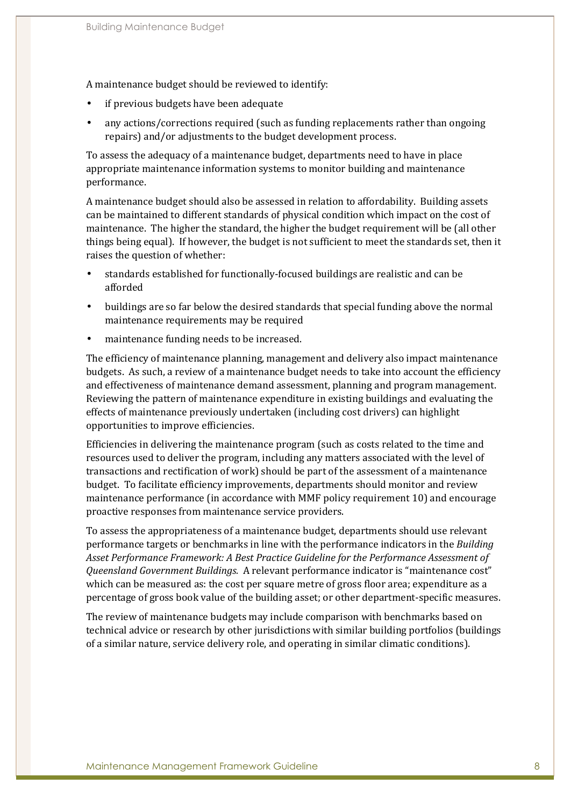A maintenance budget should be reviewed to identify:

- if previous budgets have been adequate
- any actions/corrections required (such as funding replacements rather than ongoing repairs) and/or adjustments to the budget development process.

To assess the adequacy of a maintenance budget, departments need to have in place appropriate maintenance information systems to monitor building and maintenance performance.

A maintenance budget should also be assessed in relation to affordability. Building assets can be maintained to different standards of physical condition which impact on the cost of maintenance. The higher the standard, the higher the budget requirement will be (all other things being equal). If however, the budget is not sufficient to meet the standards set, then it raises the question of whether:

- standards established for functionally-focused buildings are realistic and can be afforded
- buildings are so far below the desired standards that special funding above the normal maintenance requirements may be required
- maintenance funding needs to be increased.

The efficiency of maintenance planning, management and delivery also impact maintenance budgets. As such, a review of a maintenance budget needs to take into account the efficiency and effectiveness of maintenance demand assessment, planning and program management. Reviewing the pattern of maintenance expenditure in existing buildings and evaluating the effects of maintenance previously undertaken (including cost drivers) can highlight opportunities to improve efficiencies.

Efficiencies in delivering the maintenance program (such as costs related to the time and resources used to deliver the program, including any matters associated with the level of transactions and rectification of work) should be part of the assessment of a maintenance budget. To facilitate efficiency improvements, departments should monitor and review maintenance performance (in accordance with MMF policy requirement 10) and encourage proactive responses from maintenance service providers.

To assess the appropriateness of a maintenance budget, departments should use relevant performance targets or benchmarks in line with the performance indicators in the *Building Asset Performance Framework: A Best Practice Guideline for the Performance Assessment of Queensland Government Buildings.* A relevant performance indicator is "maintenance cost" which can be measured as: the cost per square metre of gross floor area; expenditure as a percentage of gross book value of the building asset; or other department-specific measures.

The review of maintenance budgets may include comparison with benchmarks based on technical advice or research by other jurisdictions with similar building portfolios (buildings of a similar nature, service delivery role, and operating in similar climatic conditions).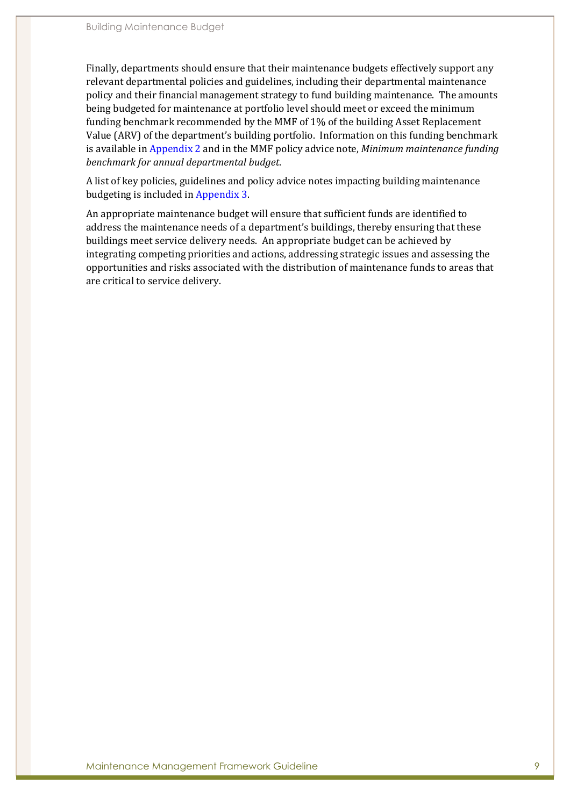Finally, departments should ensure that their maintenance budgets effectively support any relevant departmental policies and guidelines, including their departmental maintenance policy and their financial management strategy to fund building maintenance. The amounts being budgeted for maintenance at portfolio level should meet or exceed the minimum funding benchmark recommended by the MMF of 1% of the building Asset Replacement Value (ARV) of the department's building portfolio. Information on this funding benchmark is available in Appendix 2 and in the MMF policy advice note, *Minimum maintenance funding benchmark for annual departmental budget*.

A list of key policies, guidelines and policy advice notes impacting building maintenance budgeting is included in Appendix 3.

An appropriate maintenance budget will ensure that sufficient funds are identified to address the maintenance needs of a department's buildings, thereby ensuring that these buildings meet service delivery needs. An appropriate budget can be achieved by integrating competing priorities and actions, addressing strategic issues and assessing the opportunities and risks associated with the distribution of maintenance funds to areas that are critical to service delivery.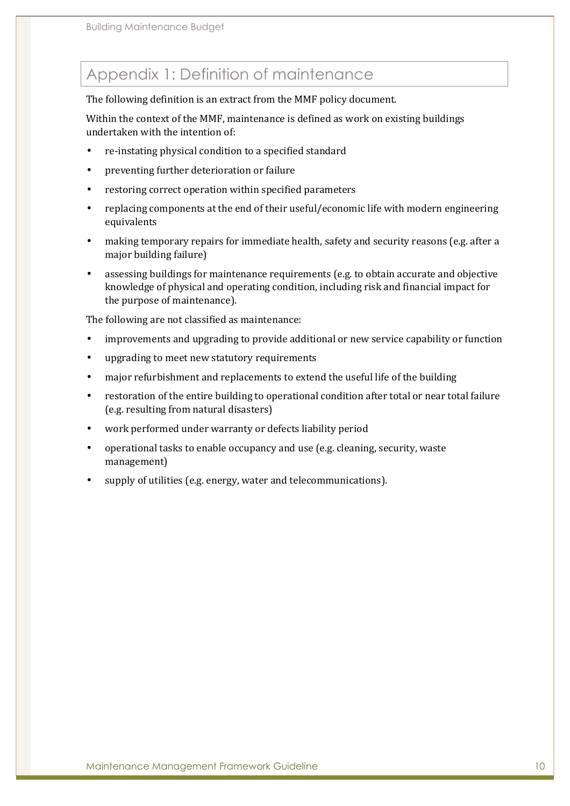# Appendix 1: Definition of maintenance

The following definition is an extract from the MMF policy document.

Within the context of the MMF, maintenance is defined as work on existing buildings undertaken with the intention of:

- re-instating physical condition to a specified standard
- preventing further deterioration or failure
- restoring correct operation within specified parameters
- replacing components at the end of their useful/economic life with modern engineering equivalents
- making temporary repairs for immediate health, safety and security reasons (e.g. after a major building failure)
- assessing buildings for maintenance requirements (e.g. to obtain accurate and objective knowledge of physical and operating condition, including risk and financial impact for the purpose of maintenance).

The following are not classified as maintenance:

- improvements and upgrading to provide additional or new service capability or function
- upgrading to meet new statutory requirements
- major refurbishment and replacements to extend the useful life of the building
- restoration of the entire building to operational condition after total or near total failure (e.g. resulting from natural disasters)
- work performed under warranty or defects liability period
- operational tasks to enable occupancy and use (e.g. cleaning, security, waste management)
- supply of utilities (e.g. energy, water and telecommunications).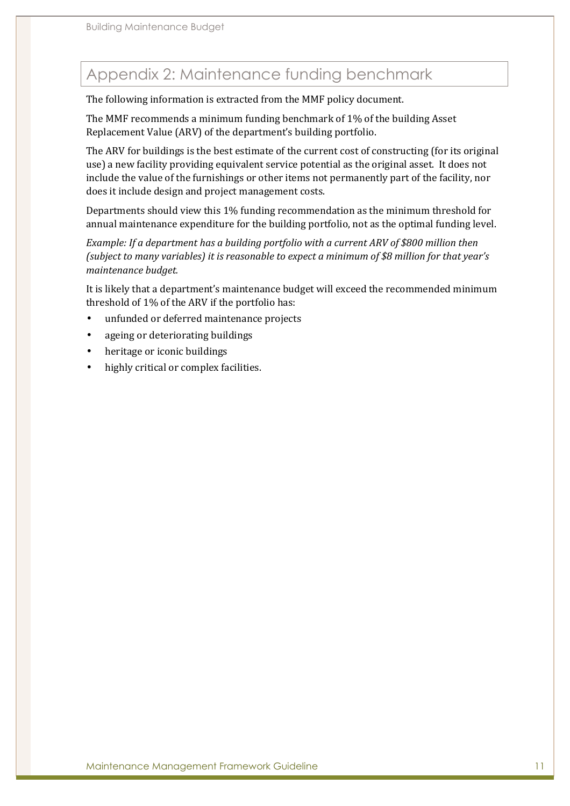# Appendix 2: Maintenance funding benchmark

The following information is extracted from the MMF policy document.

The MMF recommends a minimum funding benchmark of 1% of the building Asset Replacement Value (ARV) of the department's building portfolio.

The ARV for buildings is the best estimate of the current cost of constructing (for its original use) a new facility providing equivalent service potential as the original asset. It does not include the value of the furnishings or other items not permanently part of the facility, nor does it include design and project management costs.

Departments should view this 1% funding recommendation as the minimum threshold for annual maintenance expenditure for the building portfolio, not as the optimal funding level.

*Example: If a department has a building portfolio with a current ARV of \$800 million then (subject to many variables) it is reasonable to expect a minimum of \$8 million for that year's maintenance budget.* 

It is likely that a department's maintenance budget will exceed the recommended minimum threshold of 1% of the ARV if the portfolio has:

- unfunded or deferred maintenance projects
- ageing or deteriorating buildings
- heritage or iconic buildings
- highly critical or complex facilities.